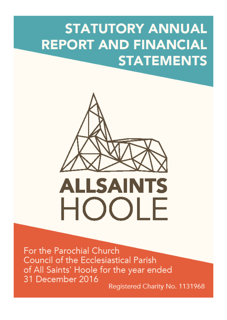# **STATUTORY ANNUAL REPORT AND FINANCIAL STATEMENTS**



For the Parochial Church **Council of the Ecclesiastical Parish** of All Saints' Hoole for the year ended 31 December 2016

Registered Charity No. 1131968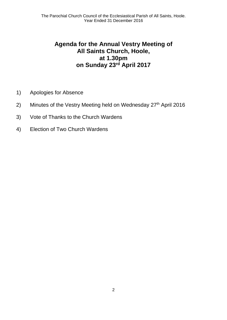# **Agenda for the Annual Vestry Meeting of All Saints Church, Hoole, at 1.30pm on Sunday 23rd April 2017**

- 1) Apologies for Absence
- 2) Minutes of the Vestry Meeting held on Wednesday  $27<sup>th</sup>$  April 2016
- 3) Vote of Thanks to the Church Wardens
- 4) Election of Two Church Wardens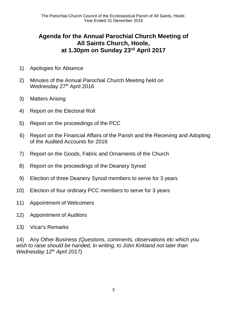# **Agenda for the Annual Parochial Church Meeting of All Saints Church, Hoole, at 1.30pm on Sunday 23rd April 2017**

- 1) Apologies for Absence
- 2) Minutes of the Annual Parochial Church Meeting held on Wednesday 27<sup>th</sup> April 2016
- 3) Matters Arising
- 4) Report on the Electoral Roll
- 5) Report on the proceedings of the PCC
- 6) Report on the Financial Affairs of the Parish and the Receiving and Adopting of the Audited Accounts for 2016
- 7) Report on the Goods, Fabric and Ornaments of the Church
- 8) Report on the proceedings of the Deanery Synod
- 9) Election of three Deanery Synod members to serve for 3 years
- 10) Election of four ordinary PCC members to serve for 3 years
- 11) Appointment of Welcomers
- 12) Appointment of Auditors
- 13) Vicar's Remarks

14) Any Other Business *(Questions, comments, observations etc which you wish to raise should be handed, in writing, to John Kirkland not later than Wednesday 12th April 2017)*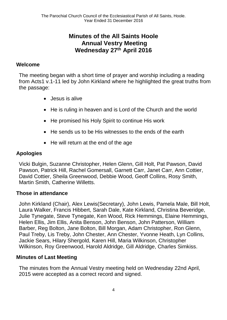# **Minutes of the All Saints Hoole Annual Vestry Meeting Wednesday 27th April 2016**

#### **Welcome**

The meeting began with a short time of prayer and worship including a reading from Acts1 v.1-11 led by John Kirkland where he highlighted the great truths from the passage:

- Jesus is alive
- He is ruling in heaven and is Lord of the Church and the world
- He promised his Holy Spirit to continue His work
- He sends us to be His witnesses to the ends of the earth
- He will return at the end of the age

#### **Apologies**

Vicki Bulgin, Suzanne Christopher, Helen Glenn, Gill Holt, Pat Pawson, David Pawson, Patrick Hill, Rachel Gomersall, Garnett Carr, Janet Carr, Ann Cottier, David Cottier, Sheila Greenwood, Debbie Wood, Geoff Collins, Rosy Smith, Martin Smith, Catherine Willetts.

#### **Those in attendance**

John Kirkland (Chair), Alex Lewis(Secretary), John Lewis, Pamela Male, Bill Holt, Laura Walker, Francis Hibbert, Sarah Dale, Kate Kirkland, Christina Beveridge, Julie Tynegate, Steve Tynegate, Ken Wood, Rick Hemmings, Elaine Hemmings, Helen Ellis, Jim Ellis, Anita Benson, John Benson, John Patterson, William Barber, Reg Bolton, Jane Bolton, Bill Morgan, Adam Christopher, Ron Glenn, Paul Treby, Lis Treby, John Chester, Ann Chester, Yvonne Heath, Lyn Collins, Jackie Sears, Hilary Shergold, Karen Hill, Maria Wilkinson, Christopher Wilkinson, Roy Greenwood, Harold Aldridge, Gill Aldridge, Charles Simkiss.

#### **Minutes of Last Meeting**

The minutes from the Annual Vestry meeting held on Wednesday 22nd April, 2015 were accepted as a correct record and signed.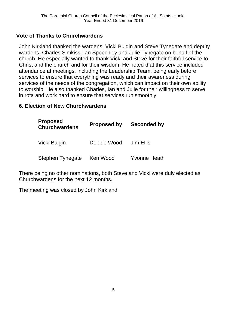#### **Vote of Thanks to Churchwardens**

John Kirkland thanked the wardens, Vicki Bulgin and Steve Tynegate and deputy wardens, Charles Simkiss, Ian Speechley and Julie Tynegate on behalf of the church. He especially wanted to thank Vicki and Steve for their faithful service to Christ and the church and for their wisdom. He noted that this service included attendance at meetings, including the Leadership Team, being early before services to ensure that everything was ready and their awareness during services of the needs of the congregation, which can impact on their own ability to worship. He also thanked Charles, Ian and Julie for their willingness to serve in rota and work hard to ensure that services run smoothly.

#### **6. Election of New Churchwardens**

| <b>Proposed</b><br><b>Churchwardens</b> | <b>Proposed by</b> | Seconded by         |
|-----------------------------------------|--------------------|---------------------|
| Vicki Bulgin                            | Debbie Wood        | Jim Ellis           |
| <b>Stephen Tynegate</b>                 | Ken Wood           | <b>Yvonne Heath</b> |

There being no other nominations, both Steve and Vicki were duly elected as Churchwardens for the next 12 months.

The meeting was closed by John Kirkland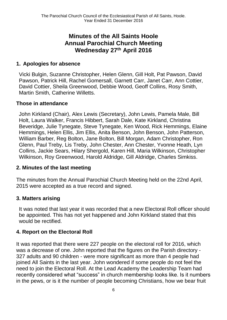# **Minutes of the All Saints Hoole Annual Parochial Church Meeting Wednesday 27th April 2016**

#### **1. Apologies for absence**

Vicki Bulgin, Suzanne Christopher, Helen Glenn, Gill Holt, Pat Pawson, David Pawson, Patrick Hill, Rachel Gomersall, Garnett Carr, Janet Carr, Ann Cottier, David Cottier, Sheila Greenwood, Debbie Wood, Geoff Collins, Rosy Smith, Martin Smith, Catherine Willetts.

#### **Those in attendance**

John Kirkland (Chair), Alex Lewis (Secretary), John Lewis, Pamela Male, Bill Holt, Laura Walker, Francis Hibbert, Sarah Dale, Kate Kirkland, Christina Beveridge, Julie Tynegate, Steve Tynegate, Ken Wood, Rick Hemmings, Elaine Hemmings, Helen Ellis, Jim Ellis, Anita Benson, John Benson, John Patterson, William Barber, Reg Bolton, Jane Bolton, Bill Morgan, Adam Christopher, Ron Glenn, Paul Treby, Lis Treby, John Chester, Ann Chester, Yvonne Heath, Lyn Collins, Jackie Sears, Hilary Shergold, Karen Hill, Maria Wilkinson, Christopher Wilkinson, Roy Greenwood, Harold Aldridge, Gill Aldridge, Charles Simkiss.

#### **2. Minutes of the last meeting**

The minutes from the Annual Parochial Church Meeting held on the 22nd April, 2015 were accepted as a true record and signed.

#### **3. Matters arising**

It was noted that last year it was recorded that a new Electoral Roll officer should be appointed. This has not yet happened and John Kirkland stated that this would be rectified.

#### **4. Report on the Electoral Roll**

It was reported that there were 227 people on the electoral roll for 2016, which was a decrease of one. John reported that the figures on the Parish directory - 327 adults and 90 children - were more significant as more than 4 people had joined All Saints in the last year. John wondered if some people do not feel the need to join the Electoral Roll. At the Lead Academy the Leadership Team had recently considered what "success" in church membership looks like. Is it numbers in the pews, or is it the number of people becoming Christians, how we bear fruit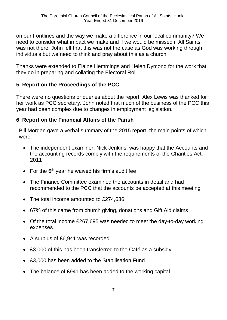on our frontlines and the way we make a difference in our local community? We need to consider what impact we make and if we would be missed if All Saints was not there. John felt that this was not the case as God was working through individuals but we need to think and pray about this as a church.

Thanks were extended to Elaine Hemmings and Helen Dymond for the work that they do in preparing and collating the Electoral Roll.

#### **5. Report on the Proceedings of the PCC**

There were no questions or queries about the report. Alex Lewis was thanked for her work as PCC secretary. John noted that much of the business of the PCC this year had been complex due to changes in employment legislation.

#### **6**. **Report on the Financial Affairs of the Parish**

Bill Morgan gave a verbal summary of the 2015 report, the main points of which were:

- The independent examiner, Nick Jenkins, was happy that the Accounts and the accounting records comply with the requirements of the Charities Act, 2011
- For the  $6<sup>th</sup>$  year he waived his firm's audit fee
- The Finance Committee examined the accounts in detail and had recommended to the PCC that the accounts be accepted at this meeting
- The total income amounted to £274,636
- 67% of this came from church giving, donations and Gift Aid claims
- Of the total income £267,695 was needed to meet the day-to-day working expenses
- A surplus of £6,941 was recorded
- £3,000 of this has been transferred to the Café as a subsidy
- £3,000 has been added to the Stabilisation Fund
- The balance of £941 has been added to the working capital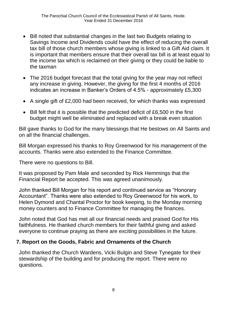- Bill noted that substantial changes in the last two Budgets relating to Savings Income and Dividends could have the effect of reducing the overall tax bill of those church members whose giving is linked to a Gift Aid claim. It is important that members ensure that their overall tax bill is at least equal to the income tax which is reclaimed on their giving or they could be liable to the taxman
- The 2016 budget forecast that the total giving for the year may not reflect any increase in giving. However, the giving for the first 4 months of 2016 indicates an increase in Banker's Orders of 4.5% - approximately £5,300
- A single gift of £2,000 had been received, for which thanks was expressed
- Bill felt that it is possible that the predicted deficit of £6,500 in the first budget might well be eliminated and replaced with a break even situation

Bill gave thanks to God for the many blessings that He bestows on All Saints and on all the financial challenges.

Bill Morgan expressed his thanks to Roy Greenwood for his management of the accounts. Thanks were also extended to the Finance Committee.

There were no questions to Bill.

It was proposed by Pam Male and seconded by Rick Hemmings that the Financial Report be accepted. This was agreed unanimously.

John thanked Bill Morgan for his report and continued service as "Honorary Accountant". Thanks were also extended to Roy Greenwood for his work, to Helen Dymond and Chantal Proctor for book keeping, to the Monday morning money counters and to Finance Committee for managing the finances.

John noted that God has met all our financial needs and praised God for His faithfulness. He thanked church members for their faithful giving and asked everyone to continue praying as there are exciting possibilities in the future.

#### **7. Report on the Goods, Fabric and Ornaments of the Church**

John thanked the Church Wardens, Vicki Bulgin and Steve Tynegate for their stewardship of the building and for producing the report. There were no questions.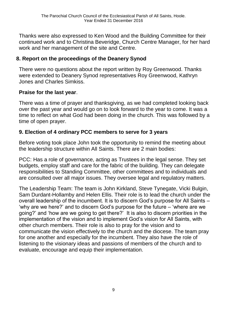Thanks were also expressed to Ken Wood and the Building Committee for their continued work and to Christina Beveridge, Church Centre Manager, for her hard work and her management of the site and Centre.

#### **8. Report on the proceedings of the Deanery Synod**

There were no questions about the report written by Roy Greenwood. Thanks were extended to Deanery Synod representatives Roy Greenwood, Kathryn Jones and Charles Simkiss.

#### **Praise for the last year**.

There was a time of prayer and thanksgiving, as we had completed looking back over the past year and would go on to look forward to the year to come. It was a time to reflect on what God had been doing in the church. This was followed by a time of open prayer.

#### **9. Election of 4 ordinary PCC members to serve for 3 years**

Before voting took place John took the opportunity to remind the meeting about the leadership structure within All Saints. There are 2 main bodies:

PCC: Has a role of governance, acting as Trustees in the legal sense. They set budgets, employ staff and care for the fabric of the building. They can delegate responsibilities to Standing Committee, other committees and to individuals and are consulted over all major issues. They oversee legal and regulatory matters.

The Leadership Team: The team is John Kirkland, Steve Tynegate, Vicki Bulgin, Sam Durdant-Hollamby and Helen Ellis. Their role is to lead the church under the overall leadership of the incumbent. It is to discern God's purpose for All Saints – 'why are we here?' and to discern God's purpose for the future – 'where are we going?' and 'how are we going to get there?' It is also to discern priorities in the implementation of the vision and to implement God's vision for All Saints, with other church members. Their role is also to pray for the vision and to communicate the vision effectively to the church and the diocese. The team pray for one another and especially for the incumbent. They also have the role of listening to the visionary ideas and passions of members of the church and to evaluate, encourage and equip their implementation.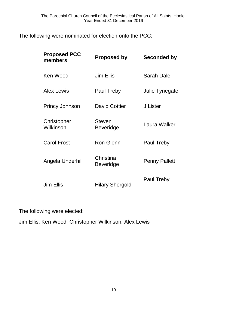The following were nominated for election onto the PCC:

| <b>Proposed PCC</b><br>members | <b>Proposed by</b>                | Seconded by          |
|--------------------------------|-----------------------------------|----------------------|
| Ken Wood                       | Jim Ellis                         | Sarah Dale           |
| <b>Alex Lewis</b>              | Paul Treby                        | Julie Tynegate       |
| <b>Princy Johnson</b>          | <b>David Cottier</b>              | J Lister             |
| Christopher<br>Wilkinson       | <b>Steven</b><br><b>Beveridge</b> | Laura Walker         |
| <b>Carol Frost</b>             | <b>Ron Glenn</b>                  | Paul Treby           |
| Angela Underhill               | Christina<br><b>Beveridge</b>     | <b>Penny Pallett</b> |
| Jim Ellis                      | <b>Hilary Shergold</b>            | Paul Treby           |

The following were elected:

Jim Ellis, Ken Wood, Christopher Wilkinson, Alex Lewis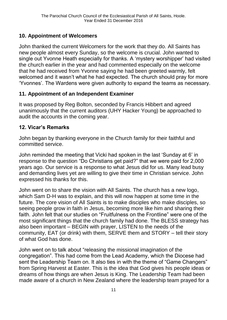#### **10. Appointment of Welcomers**

John thanked the current Welcomers for the work that they do. All Saints has new people almost every Sunday, so the welcome is crucial. John wanted to single out Yvonne Heath especially for thanks. A 'mystery worshipper' had visited the church earlier in the year and had commented especially on the welcome that he had received from Yvonne saying he had been greeted warmly, felt welcomed and it wasn't what he had expected. The church should pray for more 'Yvonnes'. The Wardens were given authority to expand the teams as necessary.

#### **11. Appointment of an Independent Examiner**

It was proposed by Reg Bolton, seconded by Francis Hibbert and agreed unanimously that the current auditors (UHY Hacker Young) be approached to audit the accounts in the coming year.

#### **12. Vicar's Remarks**

John began by thanking everyone in the Church family for their faithful and committed service.

John reminded the meeting that Vicki had spoken in the last 'Sunday at 6' in response to the question "Do Christians get paid?" that we were paid for 2,000 years ago. Our service is a response to what Jesus did for us. Many lead busy and demanding lives yet are willing to give their time in Christian service. John expressed his thanks for this.

John went on to share the vision with All Saints. The church has a new logo, which Sam D-H was to explain, and this will now happen at some time in the future. The core vision of All Saints is to make disciples who make disciples, so seeing people grow in faith in Jesus, becoming more like him and sharing their faith. John felt that our studies on "Fruitfulness on the Frontline" were one of the most significant things that the church family had done. The BLESS strategy has also been important – BEGIN with prayer, LISTEN to the needs of the community, EAT (or drink) with them, SERVE them and STORY – tell their story of what God has done.

John went on to talk about "releasing the missional imagination of the congregation". This had come from the Lead Academy, which the Diocese had sent the Leadership Team on. It also ties in with the theme of "Game Changers" from Spring Harvest at Easter. This is the idea that God gives his people ideas or dreams of how things are when Jesus is King. The Leadership Team had been made aware of a church in New Zealand where the leadership team prayed for a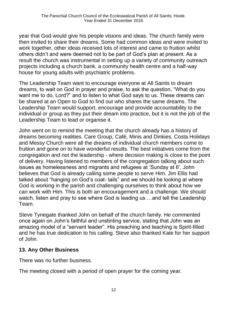year that God would give his people visions and ideas. The church family were then invited to share their dreams. Some had common ideas and were invited to work together, other ideas received lots of interest and came to fruition whilst others didn't and were deemed not to be part of God's plan at present. As a result the church was instrumental in setting up a variety of community outreach projects including a church bank, a community health centre and a half-way house for young adults with psychiatric problems.

The Leadership Team want to encourage everyone at All Saints to dream dreams, to wait on God in prayer and praise, to ask the question, "What do you want me to do, Lord?" and to listen to what God says to us. These dreams can be shared at an Open to God to find out who shares the same dreams. The Leadership Team would support, encourage and provide accountability to the individual or group as they put their dream into practice, but it is not the job of the Leadership Team to lead or organise it.

John went on to remind the meeting that the church already has a history of dreams becoming realities. Care Group, Café, Minis and Dinkies, Costa Holidays and Messy Church were all the dreams of individual church members come to fruition and gone on to have wonderful results. The best initiatives come from the congregation and not the leadership - where decision making is close to the point of delivery. Having listened to members of the congregation talking about such issues as homelessness and migrants and refugees at 'Sunday at 6', John believes that God is already calling some people to serve Him. Jim Ellis had talked about "hanging on God's coat- tails" and we should be looking at where God is working in the parish and challenging ourselves to think about how we can work with Him. This is both an encouragement and a challenge. We should watch, listen and pray to see where God is leading us …and tell the Leadership Team.

Steve Tynegate thanked John on behalf of the church family. He commented once again on John's faithful and unstinting service, stating that John was an amazing model of a "servant leader". His preaching and teaching is Spirit-filled and he has true dedication to his calling. Steve also thanked Kate for her support of John.

#### **13. Any Other Business**

There was no further business.

The meeting closed with a period of open prayer for the coming year.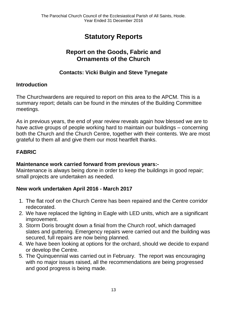# **Statutory Reports**

# **Report on the Goods, Fabric and Ornaments of the Church**

### **Contacts: Vicki Bulgin and Steve Tynegate**

#### **Introduction**

The Churchwardens are required to report on this area to the APCM. This is a summary report; details can be found in the minutes of the Building Committee meetings.

As in previous years, the end of year review reveals again how blessed we are to have active groups of people working hard to maintain our buildings – concerning both the Church and the Church Centre, together with their contents. We are most grateful to them all and give them our most heartfelt thanks.

#### **FABRIC**

#### **Maintenance work carried forward from previous years:-**

Maintenance is always being done in order to keep the buildings in good repair; small projects are undertaken as needed.

#### **New work undertaken April 2016 - March 2017**

- 1. The flat roof on the Church Centre has been repaired and the Centre corridor redecorated.
- 2. We have replaced the lighting in Eagle with LED units, which are a significant improvement.
- 3. Storm Doris brought down a finial from the Church roof, which damaged slates and guttering. Emergency repairs were carried out and the building was secured, full repairs are now being planned.
- 4. We have been looking at options for the orchard, should we decide to expand or develop the Centre.
- 5. The Quinquennial was carried out in February. The report was encouraging with no major issues raised, all the recommendations are being progressed and good progress is being made.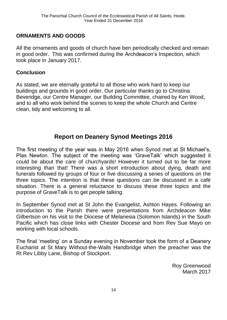#### **ORNAMENTS AND GOODS**

All the ornaments and goods of church have ben periodically checked and remain in good order. This was confirmed during the Archdeacon's Inspection, which took place in January 2017.

#### **Conclusion**

As stated, we are eternally grateful to all those who work hard to keep our buildings and grounds in good order. Our particular thanks go to Christina Beveridge, our Centre Manager, our Building Committee, chaired by Ken Wood, and to all who work behind the scenes to keep the whole Church and Centre clean, tidy and welcoming to all.

# **Report on Deanery Synod Meetings 2016**

The first meeting of the year was in May 2016 when Synod met at St Michael's, Plas Newton. The subject of the meeting was 'GraveTalk' which suggested it could be about the care of churchyards! However it turned out to be far more interesting than that! There was a short introduction about dying, death and funerals followed by groups of four or five discussing a series of questions on the three topics. The intention is that these questions can be discussed in a café situation. There is a general reluctance to discuss these three topics and the purpose of GraveTalk is to get people talking.

In September Synod met at St John the Evangelist, Ashton Hayes. Following an introduction to the Parish there were presentations from Archdeacon Mike Gilbertson on his visit to the Diocese of Melanesia (Solomon Islands) in the South Pacific which has close links with Chester Diocese and from Rev Sue Mayo on working with local schools.

The final 'meeting' on a Sunday evening in November took the form of a Deanery Eucharist at St Mary Without-the-Walls Handbridge when the preacher was the Rt Rev Libby Lane, Bishop of Stockport.

> Roy Greenwood March 2017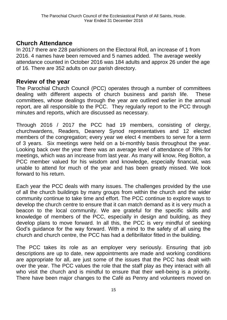# **Church Attendance**

In 2017 there are 228 parishioners on the Electoral Roll, an increase of 1 from 2016. 4 names have been removed and 5 names added. The average weekly attendance counted in October 2016 was 184 adults and approx 26 under the age of 16. There are 352 adults on our parish directory.

### **Review of the year**

The Parochial Church Council (PCC) operates through a number of committees dealing with different aspects of church business and parish life. These committees, whose dealings through the year are outlined earlier in the annual report, are all responsible to the PCC. They regularly report to the PCC through minutes and reports, which are discussed as necessary.

Through 2016 / 2017 the PCC had 19 members, consisting of clergy, churchwardens, Readers, Deanery Synod representatives and 12 elected members of the congregation; every year we elect 4 members to serve for a term of 3 years. Six meetings were held on a bi-monthly basis throughout the year. Looking back over the year there was an average level of attendance of 78% for meetings, which was an increase from last year. As many will know, Reg Bolton, a PCC member valued for his wisdom and knowledge, especially financial, was unable to attend for much of the year and has been greatly missed. We look forward to his return.

Each year the PCC deals with many issues. The challenges provided by the use of all the church buildings by many groups from within the church and the wider community continue to take time and effort. The PCC continue to explore ways to develop the church centre to ensure that it can match demand as it is very much a beacon to the local community. We are grateful for the specific skills and knowledge of members of the PCC, especially in design and building, as they develop plans to move forward. In all this, the PCC is very mindful of seeking God's guidance for the way forward. With a mind to the safety of all using the church and church centre, the PCC has had a defibrillator fitted in the building.

The PCC takes its role as an employer very seriously. Ensuring that job descriptions are up to date, new appointments are made and working conditions are appropriate for all, are just some of the issues that the PCC has dealt with over the year. The PCC values the role that the staff play as they interact with all who visit the church and is mindful to ensure that their well-being is a priority. There have been major changes to the Café as Penny and volunteers moved on